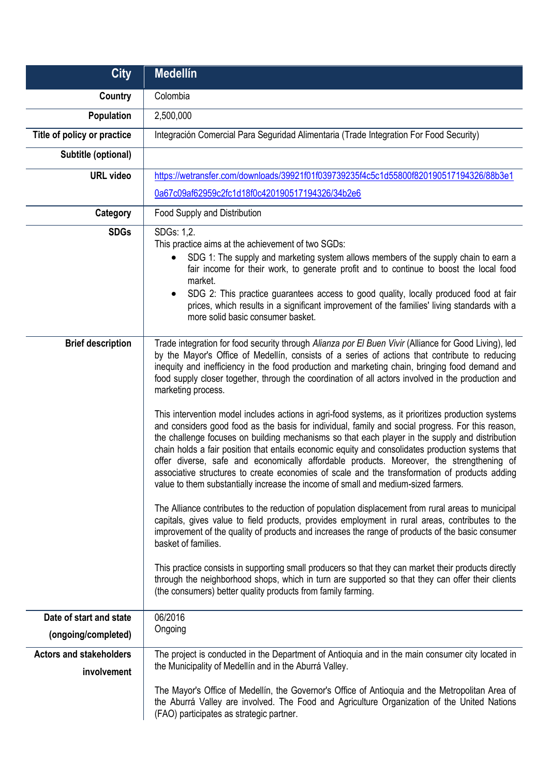| <b>City</b>                                    | <b>Medellín</b>                                                                                                                                                                                                                                                                                                                                                                                                                                                                                                                                                                                                                                                                                                                                                                                                                                                                                                                                                                                                                                                                                                                                                                                                                                                                                                                                                                                                                                                                                                                                                                                                                                                                                                                                              |
|------------------------------------------------|--------------------------------------------------------------------------------------------------------------------------------------------------------------------------------------------------------------------------------------------------------------------------------------------------------------------------------------------------------------------------------------------------------------------------------------------------------------------------------------------------------------------------------------------------------------------------------------------------------------------------------------------------------------------------------------------------------------------------------------------------------------------------------------------------------------------------------------------------------------------------------------------------------------------------------------------------------------------------------------------------------------------------------------------------------------------------------------------------------------------------------------------------------------------------------------------------------------------------------------------------------------------------------------------------------------------------------------------------------------------------------------------------------------------------------------------------------------------------------------------------------------------------------------------------------------------------------------------------------------------------------------------------------------------------------------------------------------------------------------------------------------|
| <b>Country</b>                                 | Colombia                                                                                                                                                                                                                                                                                                                                                                                                                                                                                                                                                                                                                                                                                                                                                                                                                                                                                                                                                                                                                                                                                                                                                                                                                                                                                                                                                                                                                                                                                                                                                                                                                                                                                                                                                     |
| Population                                     | 2,500,000                                                                                                                                                                                                                                                                                                                                                                                                                                                                                                                                                                                                                                                                                                                                                                                                                                                                                                                                                                                                                                                                                                                                                                                                                                                                                                                                                                                                                                                                                                                                                                                                                                                                                                                                                    |
| Title of policy or practice                    | Integración Comercial Para Seguridad Alimentaria (Trade Integration For Food Security)                                                                                                                                                                                                                                                                                                                                                                                                                                                                                                                                                                                                                                                                                                                                                                                                                                                                                                                                                                                                                                                                                                                                                                                                                                                                                                                                                                                                                                                                                                                                                                                                                                                                       |
| Subtitle (optional)                            |                                                                                                                                                                                                                                                                                                                                                                                                                                                                                                                                                                                                                                                                                                                                                                                                                                                                                                                                                                                                                                                                                                                                                                                                                                                                                                                                                                                                                                                                                                                                                                                                                                                                                                                                                              |
| <b>URL video</b>                               | https://wetransfer.com/downloads/39921f01f039739235f4c5c1d55800f820190517194326/88b3e1                                                                                                                                                                                                                                                                                                                                                                                                                                                                                                                                                                                                                                                                                                                                                                                                                                                                                                                                                                                                                                                                                                                                                                                                                                                                                                                                                                                                                                                                                                                                                                                                                                                                       |
|                                                | 0a67c09af62959c2fc1d18f0c420190517194326/34b2e6                                                                                                                                                                                                                                                                                                                                                                                                                                                                                                                                                                                                                                                                                                                                                                                                                                                                                                                                                                                                                                                                                                                                                                                                                                                                                                                                                                                                                                                                                                                                                                                                                                                                                                              |
| Category                                       | Food Supply and Distribution                                                                                                                                                                                                                                                                                                                                                                                                                                                                                                                                                                                                                                                                                                                                                                                                                                                                                                                                                                                                                                                                                                                                                                                                                                                                                                                                                                                                                                                                                                                                                                                                                                                                                                                                 |
| <b>SDGs</b>                                    | SDGs: 1,2.<br>This practice aims at the achievement of two SGDs:<br>SDG 1: The supply and marketing system allows members of the supply chain to earn a<br>fair income for their work, to generate profit and to continue to boost the local food<br>market.<br>SDG 2: This practice guarantees access to good quality, locally produced food at fair<br>$\bullet$<br>prices, which results in a significant improvement of the families' living standards with a<br>more solid basic consumer basket.                                                                                                                                                                                                                                                                                                                                                                                                                                                                                                                                                                                                                                                                                                                                                                                                                                                                                                                                                                                                                                                                                                                                                                                                                                                       |
| <b>Brief description</b>                       | Trade integration for food security through Alianza por El Buen Vivir (Alliance for Good Living), led<br>by the Mayor's Office of Medellín, consists of a series of actions that contribute to reducing<br>inequity and inefficiency in the food production and marketing chain, bringing food demand and<br>food supply closer together, through the coordination of all actors involved in the production and<br>marketing process.<br>This intervention model includes actions in agri-food systems, as it prioritizes production systems<br>and considers good food as the basis for individual, family and social progress. For this reason,<br>the challenge focuses on building mechanisms so that each player in the supply and distribution<br>chain holds a fair position that entails economic equity and consolidates production systems that<br>offer diverse, safe and economically affordable products. Moreover, the strengthening of<br>associative structures to create economies of scale and the transformation of products adding<br>value to them substantially increase the income of small and medium-sized farmers.<br>The Alliance contributes to the reduction of population displacement from rural areas to municipal<br>capitals, gives value to field products, provides employment in rural areas, contributes to the<br>improvement of the quality of products and increases the range of products of the basic consumer<br>basket of families.<br>This practice consists in supporting small producers so that they can market their products directly<br>through the neighborhood shops, which in turn are supported so that they can offer their clients<br>(the consumers) better quality products from family farming. |
| Date of start and state<br>(ongoing/completed) | 06/2016<br>Ongoing                                                                                                                                                                                                                                                                                                                                                                                                                                                                                                                                                                                                                                                                                                                                                                                                                                                                                                                                                                                                                                                                                                                                                                                                                                                                                                                                                                                                                                                                                                                                                                                                                                                                                                                                           |
| <b>Actors and stakeholders</b><br>involvement  | The project is conducted in the Department of Antioquia and in the main consumer city located in<br>the Municipality of Medellín and in the Aburrá Valley.<br>The Mayor's Office of Medellin, the Governor's Office of Antioquia and the Metropolitan Area of                                                                                                                                                                                                                                                                                                                                                                                                                                                                                                                                                                                                                                                                                                                                                                                                                                                                                                                                                                                                                                                                                                                                                                                                                                                                                                                                                                                                                                                                                                |
|                                                | the Aburrá Valley are involved. The Food and Agriculture Organization of the United Nations<br>(FAO) participates as strategic partner.                                                                                                                                                                                                                                                                                                                                                                                                                                                                                                                                                                                                                                                                                                                                                                                                                                                                                                                                                                                                                                                                                                                                                                                                                                                                                                                                                                                                                                                                                                                                                                                                                      |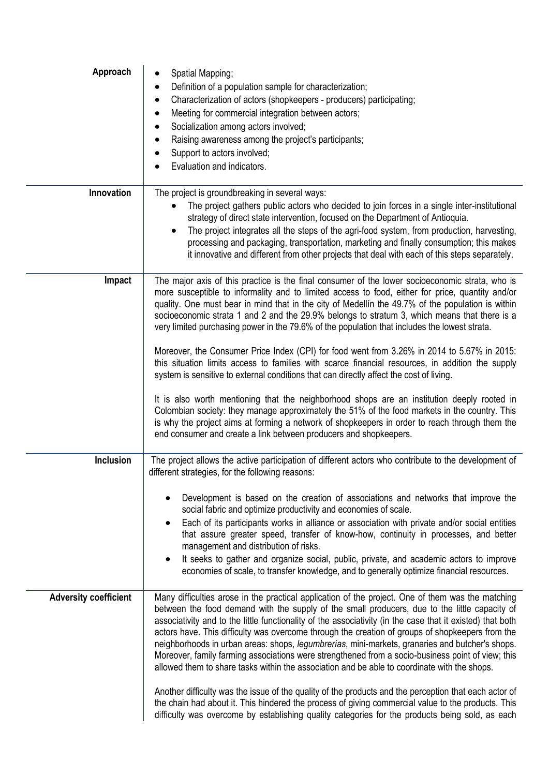| Approach                     | Spatial Mapping;<br>Definition of a population sample for characterization;<br>$\bullet$<br>Characterization of actors (shopkeepers - producers) participating;<br>Meeting for commercial integration between actors;<br>Socialization among actors involved;<br>Raising awareness among the project's participants;<br>Support to actors involved;<br>Evaluation and indicators.                                                                                                                                                                                                                                                                                                                                                                                                                                                                                                                                                                                                                                                                                                                                                                                              |
|------------------------------|--------------------------------------------------------------------------------------------------------------------------------------------------------------------------------------------------------------------------------------------------------------------------------------------------------------------------------------------------------------------------------------------------------------------------------------------------------------------------------------------------------------------------------------------------------------------------------------------------------------------------------------------------------------------------------------------------------------------------------------------------------------------------------------------------------------------------------------------------------------------------------------------------------------------------------------------------------------------------------------------------------------------------------------------------------------------------------------------------------------------------------------------------------------------------------|
| Innovation                   | The project is groundbreaking in several ways:<br>The project gathers public actors who decided to join forces in a single inter-institutional<br>$\bullet$<br>strategy of direct state intervention, focused on the Department of Antioquia.<br>The project integrates all the steps of the agri-food system, from production, harvesting,<br>$\bullet$<br>processing and packaging, transportation, marketing and finally consumption; this makes<br>it innovative and different from other projects that deal with each of this steps separately.                                                                                                                                                                                                                                                                                                                                                                                                                                                                                                                                                                                                                           |
| Impact                       | The major axis of this practice is the final consumer of the lower socioeconomic strata, who is<br>more susceptible to informality and to limited access to food, either for price, quantity and/or<br>quality. One must bear in mind that in the city of Medellin the 49.7% of the population is within<br>socioeconomic strata 1 and 2 and the 29.9% belongs to stratum 3, which means that there is a<br>very limited purchasing power in the 79.6% of the population that includes the lowest strata.<br>Moreover, the Consumer Price Index (CPI) for food went from 3.26% in 2014 to 5.67% in 2015:<br>this situation limits access to families with scarce financial resources, in addition the supply<br>system is sensitive to external conditions that can directly affect the cost of living.<br>It is also worth mentioning that the neighborhood shops are an institution deeply rooted in<br>Colombian society: they manage approximately the 51% of the food markets in the country. This<br>is why the project aims at forming a network of shopkeepers in order to reach through them the<br>end consumer and create a link between producers and shopkeepers. |
| Inclusion                    | The project allows the active participation of different actors who contribute to the development of<br>different strategies, for the following reasons:<br>Development is based on the creation of associations and networks that improve the<br>social fabric and optimize productivity and economies of scale.<br>Each of its participants works in alliance or association with private and/or social entities<br>$\bullet$<br>that assure greater speed, transfer of know-how, continuity in processes, and better<br>management and distribution of risks.<br>It seeks to gather and organize social, public, private, and academic actors to improve<br>$\bullet$<br>economies of scale, to transfer knowledge, and to generally optimize financial resources.                                                                                                                                                                                                                                                                                                                                                                                                          |
| <b>Adversity coefficient</b> | Many difficulties arose in the practical application of the project. One of them was the matching<br>between the food demand with the supply of the small producers, due to the little capacity of<br>associativity and to the little functionality of the associativity (in the case that it existed) that both<br>actors have. This difficulty was overcome through the creation of groups of shopkeepers from the<br>neighborhoods in urban areas: shops, legumbrerías, mini-markets, granaries and butcher's shops.<br>Moreover, family farming associations were strengthened from a socio-business point of view; this<br>allowed them to share tasks within the association and be able to coordinate with the shops.<br>Another difficulty was the issue of the quality of the products and the perception that each actor of<br>the chain had about it. This hindered the process of giving commercial value to the products. This<br>difficulty was overcome by establishing quality categories for the products being sold, as each                                                                                                                                 |